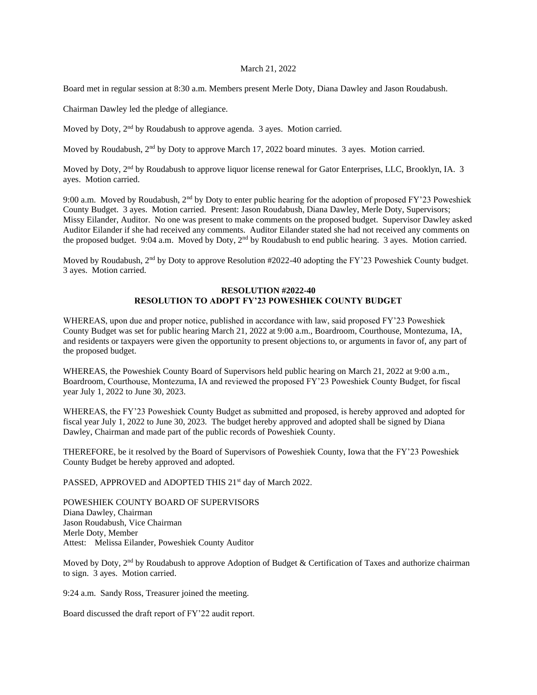## March 21, 2022

Board met in regular session at 8:30 a.m. Members present Merle Doty, Diana Dawley and Jason Roudabush.

Chairman Dawley led the pledge of allegiance.

Moved by Doty, 2<sup>nd</sup> by Roudabush to approve agenda. 3 ayes. Motion carried.

Moved by Roudabush, 2<sup>nd</sup> by Doty to approve March 17, 2022 board minutes. 3 ayes. Motion carried.

Moved by Doty, 2nd by Roudabush to approve liquor license renewal for Gator Enterprises, LLC, Brooklyn, IA. 3 ayes. Motion carried.

9:00 a.m. Moved by Roudabush, 2nd by Doty to enter public hearing for the adoption of proposed FY'23 Poweshiek County Budget. 3 ayes. Motion carried. Present: Jason Roudabush, Diana Dawley, Merle Doty, Supervisors; Missy Eilander, Auditor. No one was present to make comments on the proposed budget. Supervisor Dawley asked Auditor Eilander if she had received any comments. Auditor Eilander stated she had not received any comments on the proposed budget. 9:04 a.m. Moved by Doty, 2nd by Roudabush to end public hearing. 3 ayes. Motion carried.

Moved by Roudabush, 2<sup>nd</sup> by Doty to approve Resolution #2022-40 adopting the FY'23 Poweshiek County budget. 3 ayes. Motion carried.

## **RESOLUTION #2022-40 RESOLUTION TO ADOPT FY'23 POWESHIEK COUNTY BUDGET**

WHEREAS, upon due and proper notice, published in accordance with law, said proposed FY'23 Poweshiek County Budget was set for public hearing March 21, 2022 at 9:00 a.m., Boardroom, Courthouse, Montezuma, IA, and residents or taxpayers were given the opportunity to present objections to, or arguments in favor of, any part of the proposed budget.

WHEREAS, the Poweshiek County Board of Supervisors held public hearing on March 21, 2022 at 9:00 a.m., Boardroom, Courthouse, Montezuma, IA and reviewed the proposed FY'23 Poweshiek County Budget, for fiscal year July 1, 2022 to June 30, 2023.

WHEREAS, the FY'23 Poweshiek County Budget as submitted and proposed, is hereby approved and adopted for fiscal year July 1, 2022 to June 30, 2023. The budget hereby approved and adopted shall be signed by Diana Dawley, Chairman and made part of the public records of Poweshiek County.

THEREFORE, be it resolved by the Board of Supervisors of Poweshiek County, Iowa that the FY'23 Poweshiek County Budget be hereby approved and adopted.

PASSED, APPROVED and ADOPTED THIS 21<sup>st</sup> day of March 2022.

POWESHIEK COUNTY BOARD OF SUPERVISORS Diana Dawley, Chairman Jason Roudabush, Vice Chairman Merle Doty, Member Attest: Melissa Eilander, Poweshiek County Auditor

Moved by Doty, 2<sup>nd</sup> by Roudabush to approve Adoption of Budget & Certification of Taxes and authorize chairman to sign. 3 ayes. Motion carried.

9:24 a.m. Sandy Ross, Treasurer joined the meeting.

Board discussed the draft report of FY'22 audit report.